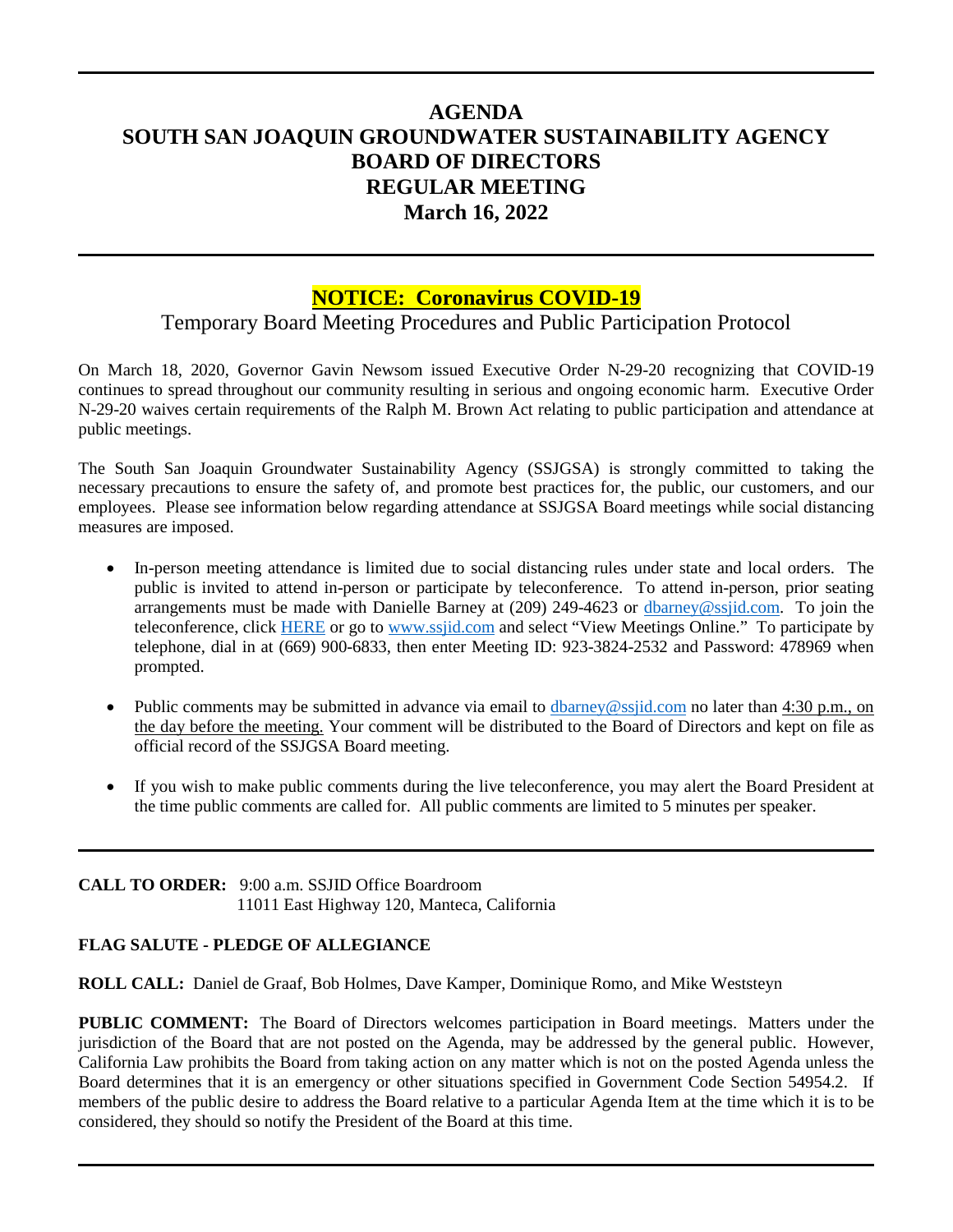## **AGENDA SOUTH SAN JOAQUIN GROUNDWATER SUSTAINABILITY AGENCY BOARD OF DIRECTORS REGULAR MEETING March 16, 2022**

## **NOTICE: Coronavirus COVID-19**

# Temporary Board Meeting Procedures and Public Participation Protocol

On March 18, 2020, Governor Gavin Newsom issued Executive Order N-29-20 recognizing that COVID-19 continues to spread throughout our community resulting in serious and ongoing economic harm. Executive Order N-29-20 waives certain requirements of the Ralph M. Brown Act relating to public participation and attendance at public meetings.

The South San Joaquin Groundwater Sustainability Agency (SSJGSA) is strongly committed to taking the necessary precautions to ensure the safety of, and promote best practices for, the public, our customers, and our employees. Please see information below regarding attendance at SSJGSA Board meetings while social distancing measures are imposed.

- In-person meeting attendance is limited due to social distancing rules under state and local orders. The public is invited to attend in-person or participate by teleconference. To attend in-person, prior seating arrangements must be made with Danielle Barney at (209) 249-4623 or [dbarney@ssjid.com.](mailto:dbarney@ssjid.com) To join the teleconference, click [HERE](https://ssjid.zoom.us/j/92338242532?pwd=NFZiTDJzY1VtaUphZU5wL3dhVEx3dz09#success) or go to [www.ssjid.com](http://www.ssjid.com/) and select "View Meetings Online." To participate by telephone, dial in at (669) 900-6833, then enter Meeting ID: 923-3824-2532 and Password: 478969 when prompted.
- Public comments may be submitted in advance via email to  $\underline{d}$ barney@ssjid.com no later than  $4:30$  p.m., on the day before the meeting. Your comment will be distributed to the Board of Directors and kept on file as official record of the SSJGSA Board meeting.
- If you wish to make public comments during the live teleconference, you may alert the Board President at the time public comments are called for. All public comments are limited to 5 minutes per speaker.

**CALL TO ORDER:** 9:00 a.m. SSJID Office Boardroom 11011 East Highway 120, Manteca, California

## **FLAG SALUTE - PLEDGE OF ALLEGIANCE**

**ROLL CALL:** Daniel de Graaf, Bob Holmes, Dave Kamper, Dominique Romo, and Mike Weststeyn

**PUBLIC COMMENT:** The Board of Directors welcomes participation in Board meetings. Matters under the jurisdiction of the Board that are not posted on the Agenda, may be addressed by the general public. However, California Law prohibits the Board from taking action on any matter which is not on the posted Agenda unless the Board determines that it is an emergency or other situations specified in Government Code Section 54954.2. If members of the public desire to address the Board relative to a particular Agenda Item at the time which it is to be considered, they should so notify the President of the Board at this time.